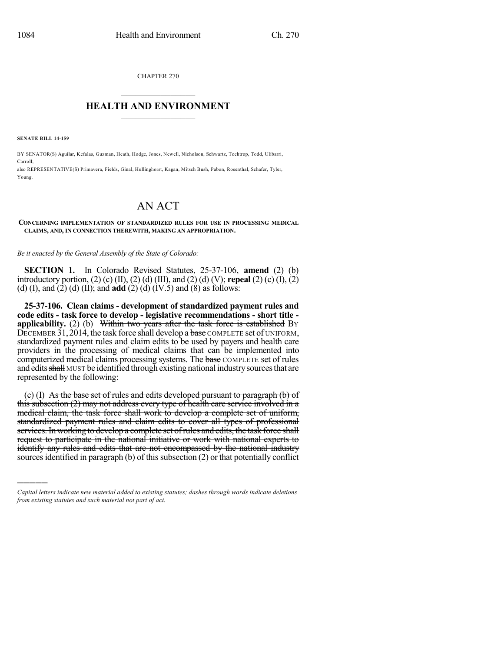CHAPTER 270  $\overline{\phantom{a}}$  . The set of the set of the set of the set of the set of the set of the set of the set of the set of the set of the set of the set of the set of the set of the set of the set of the set of the set of the set o

## **HEALTH AND ENVIRONMENT**  $\_$

**SENATE BILL 14-159**

)))))

BY SENATOR(S) Aguilar, Kefalas, Guzman, Heath, Hodge, Jones, Newell, Nicholson, Schwartz, Tochtrop, Todd, Ulibarri, Carroll;

also REPRESENTATIVE(S) Primavera, Fields, Ginal, Hullinghorst, Kagan, Mitsch Bush, Pabon, Rosenthal, Schafer, Tyler, Young.

## AN ACT

## **CONCERNING IMPLEMENTATION OF STANDARDIZED RULES FOR USE IN PROCESSING MEDICAL CLAIMS, AND, IN CONNECTION THEREWITH, MAKING AN APPROPRIATION.**

*Be it enacted by the General Assembly of the State of Colorado:*

**SECTION 1.** In Colorado Revised Statutes, 25-37-106, **amend** (2) (b) introductory portion, (2) (c) (II), (2) (d) (III), and (2) (d) (V); **repeal** (2) (c) (I), (2) (d) (I), and (2) (d) (II); and **add** (2) (d) (IV.5) and (8) as follows:

**25-37-106. Clean claims - development of standardized payment rules and code edits - task force to develop - legislative recommendations - short title applicability.** (2) (b) Within two years after the task force is established By DECEMBER 31, 2014, the task force shall develop a base COMPLETE set of UNIFORM, standardized payment rules and claim edits to be used by payers and health care providers in the processing of medical claims that can be implemented into computerized medical claims processing systems. The base COMPLETE set of rules and edits shall MUST be identified through existing national industry sources that are represented by the following:

(c) (I) As the base set of rules and edits developed pursuant to paragraph (b) of this subsection (2) may not address every type of health care service involved in a medical claim, the task force shall work to develop a complete set of uniform, standardized payment rules and claim edits to cover all types of professional services. In working to develop a complete set of rules and edits, the task force shall request to participate in the national initiative or work with national experts to identify any rules and edits that are not encompassed by the national industry sources identified in paragraph (b) of this subsection  $(2)$  or that potentially conflict

*Capital letters indicate new material added to existing statutes; dashes through words indicate deletions from existing statutes and such material not part of act.*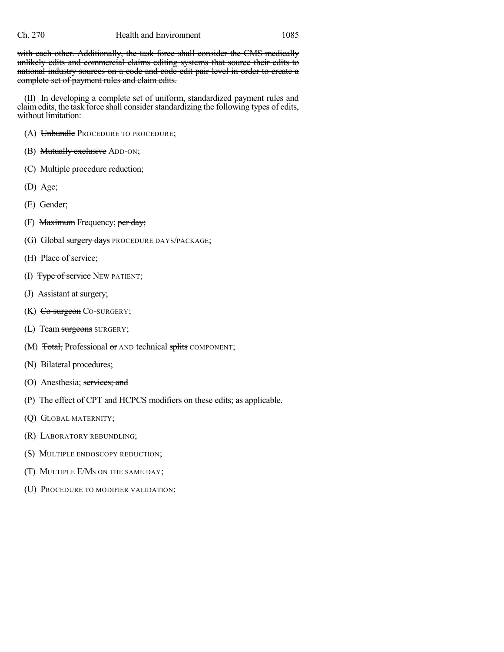with each other. Additionally, the task force shall consider the CMS medically unlikely edits and commercial claims editing systems that source their edits to national industry sources on a code and code edit pair level in order to create a complete set of payment rules and claim edits.

(II) In developing a complete set of uniform, standardized payment rules and claim edits, the task force shall consider standardizing the following types of edits, without limitation:

- (A) Unbundle PROCEDURE TO PROCEDURE;
- (B) Mutually exclusive ADD-ON;
- (C) Multiple procedure reduction;
- (D) Age;
- (E) Gender;
- (F) Maximum Frequency; per day;
- (G) Global surgery days PROCEDURE DAYS/PACKAGE;
- (H) Place of service;
- (I) Type of service NEW PATIENT;
- (J) Assistant at surgery;
- $(K)$  Co-surgeon Co-surgery;
- (L) Team surgeons SURGERY;
- (M) Total, Professional or AND technical splits COMPONENT;
- (N) Bilateral procedures;
- (O) Anesthesia; services; and
- (P) The effect of CPT and HCPCS modifiers on these edits; as applicable.
- (Q) GLOBAL MATERNITY;
- (R) LABORATORY REBUNDLING;
- (S) MULTIPLE ENDOSCOPY REDUCTION;
- (T) MULTIPLE E/MS ON THE SAME DAY;
- (U) PROCEDURE TO MODIFIER VALIDATION;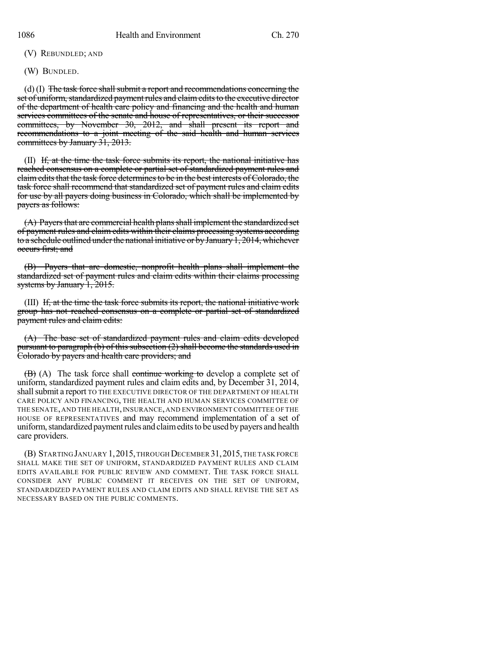(V) REBUNDLED; AND

(W) BUNDLED.

(d) (I) The task force shall submit a report and recommendations concerning the set of uniform, standardized payment rules and claim edits to the executive director of the department of health care policy and financing and the health and human services committees of the senate and house of representatives, or their successor committees, by November 30, 2012, and shall present its report and recommendations to a joint meeting of the said health and human services committees by January 31, 2013.

(II) If, at the time the task force submits its report, the national initiative has reached consensus on a complete or partial set of standardized payment rules and claim edits that the task force determines to be in the best interests of Colorado, the task force shall recommend that standardized set of payment rules and claim edits for use by all payers doing business in Colorado, which shall be implemented by payers as follows:

(A) Payers that are commercial health plans shall implement the standardized set of payment rules and claim edits within their claims processing systems according to a schedule outlined under the national initiative or by January 1, 2014, whichever occurs first; and

(B) Payers that are domestic, nonprofit health plans shall implement the standardized set of payment rules and claim edits within their claims processing systems by January 1, 2015.

(III) If, at the time the task force submits its report, the national initiative work group has not reached consensus on a complete or partial set of standardized payment rules and claim edits:

(A) The base set of standardized payment rules and claim edits developed pursuant to paragraph (b) of this subsection (2) shall become the standards used in Colorado by payers and health care providers; and

(B) (A) The task force shall continue working to develop a complete set of uniform, standardized payment rules and claim edits and, by December 31, 2014, shall submit a report TO THE EXECUTIVE DIRECTOR OF THE DEPARTMENT OF HEALTH CARE POLICY AND FINANCING, THE HEALTH AND HUMAN SERVICES COMMITTEE OF THE SENATE, AND THE HEALTH, INSURANCE, AND ENVIRONMENT COMMITTEE OF THE HOUSE OF REPRESENTATIVES and may recommend implementation of a set of uniform, standardized payment rules and claim edits to be used by payers and health care providers.

(B) STARTINGJANUARY 1,2015,THROUGH DECEMBER 31,2015,THE TASK FORCE SHALL MAKE THE SET OF UNIFORM, STANDARDIZED PAYMENT RULES AND CLAIM EDITS AVAILABLE FOR PUBLIC REVIEW AND COMMENT. THE TASK FORCE SHALL CONSIDER ANY PUBLIC COMMENT IT RECEIVES ON THE SET OF UNIFORM, STANDARDIZED PAYMENT RULES AND CLAIM EDITS AND SHALL REVISE THE SET AS NECESSARY BASED ON THE PUBLIC COMMENTS.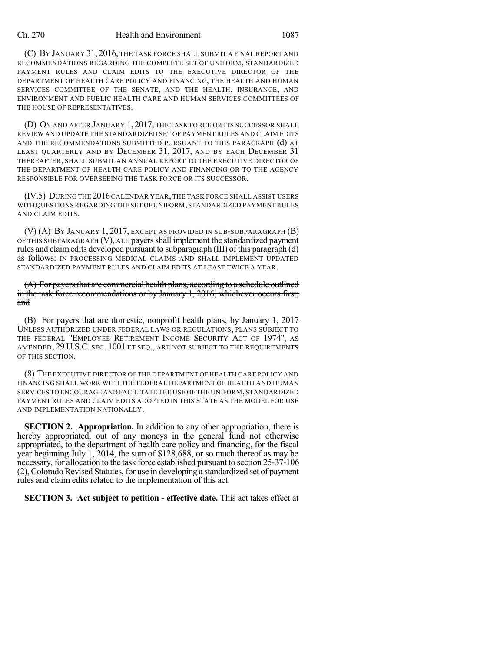## Ch. 270 Health and Environment 1087

(C) BY JANUARY 31, 2016, THE TASK FORCE SHALL SUBMIT A FINAL REPORT AND RECOMMENDATIONS REGARDING THE COMPLETE SET OF UNIFORM, STANDARDIZED PAYMENT RULES AND CLAIM EDITS TO THE EXECUTIVE DIRECTOR OF THE DEPARTMENT OF HEALTH CARE POLICY AND FINANCING, THE HEALTH AND HUMAN SERVICES COMMITTEE OF THE SENATE, AND THE HEALTH, INSURANCE, AND ENVIRONMENT AND PUBLIC HEALTH CARE AND HUMAN SERVICES COMMITTEES OF THE HOUSE OF REPRESENTATIVES.

(D) ON AND AFTER JANUARY 1, 2017, THE TASK FORCE OR ITS SUCCESSOR SHALL REVIEW AND UPDATE THE STANDARDIZED SET OF PAYMENT RULES AND CLAIM EDITS AND THE RECOMMENDATIONS SUBMITTED PURSUANT TO THIS PARAGRAPH (d) AT LEAST QUARTERLY AND BY DECEMBER 31, 2017, AND BY EACH DECEMBER 31 THEREAFTER, SHALL SUBMIT AN ANNUAL REPORT TO THE EXECUTIVE DIRECTOR OF THE DEPARTMENT OF HEALTH CARE POLICY AND FINANCING OR TO THE AGENCY RESPONSIBLE FOR OVERSEEING THE TASK FORCE OR ITS SUCCESSOR.

(IV.5) DURING THE 2016CALENDAR YEAR, THE TASK FORCE SHALL ASSIST USERS WITH QUESTIONS REGARDING THE SET OFUNIFORM,STANDARDIZED PAYMENT RULES AND CLAIM EDITS.

(V) (A) BY JANUARY 1, 2017, EXCEPT AS PROVIDED IN SUB-SUBPARAGRAPH (B) OF THIS SUBPARAGRAPH (V), ALL payers shall implement the standardized payment rules and claimedits developed pursuant to subparagraph (III) of this paragraph (d) as follows: IN PROCESSING MEDICAL CLAIMS AND SHALL IMPLEMENT UPDATED STANDARDIZED PAYMENT RULES AND CLAIM EDITS AT LEAST TWICE A YEAR.

 $(A)$  For payers that are commercial health plans, according to a schedule outlined in the task force recommendations or by January 1, 2016, whichever occurs first; and

(B) For payers that are domestic, nonprofit health plans, by January 1, 2017 UNLESS AUTHORIZED UNDER FEDERAL LAWS OR REGULATIONS, PLANS SUBJECT TO THE FEDERAL "EMPLOYEE RETIREMENT INCOME SECURITY ACT OF 1974", AS AMENDED, 29 U.S.C. SEC. 1001 ET SEQ., ARE NOT SUBJECT TO THE REQUIREMENTS OF THIS SECTION.

(8) THE EXECUTIVE DIRECTOR OF THE DEPARTMENT OF HEALTH CARE POLICY AND FINANCING SHALL WORK WITH THE FEDERAL DEPARTMENT OF HEALTH AND HUMAN SERVICES TO ENCOURAGE AND FACILITATE THE USE OF THE UNIFORM, STANDARDIZED PAYMENT RULES AND CLAIM EDITS ADOPTED IN THIS STATE AS THE MODEL FOR USE AND IMPLEMENTATION NATIONALLY.

**SECTION 2. Appropriation.** In addition to any other appropriation, there is hereby appropriated, out of any moneys in the general fund not otherwise appropriated, to the department of health care policy and financing, for the fiscal year beginning July 1, 2014, the sum of \$128,688, or so much thereof as may be necessary, for allocation to the task force established pursuant to section 25-37-106 (2),ColoradoRevised Statutes, for use in developing a standardized set of payment rules and claim edits related to the implementation of this act.

**SECTION 3. Act subject to petition - effective date.** This act takes effect at